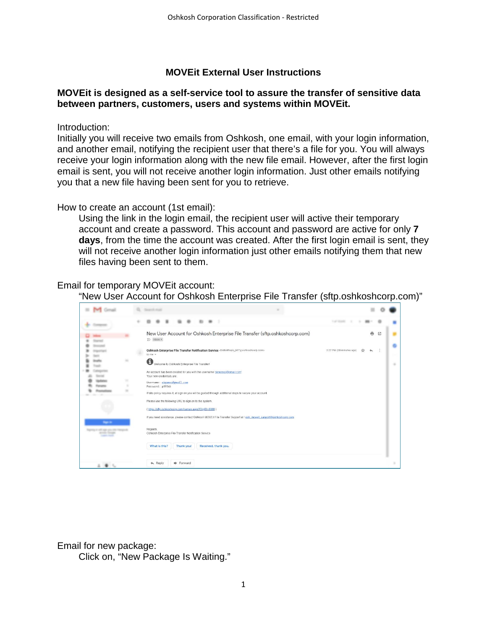### **MOVEit External User Instructions**

### **MOVEit is designed as a self-service tool to assure the transfer of sensitive data between partners, customers, users and systems within MOVEit.**

Introduction:

Initially you will receive two emails from Oshkosh, one email, with your login information, and another email, notifying the recipient user that there's a file for you. You will always receive your login information along with the new file email. However, after the first login email is sent, you will not receive another login information. Just other emails notifying you that a new file having been sent for you to retrieve.

How to create an account (1st email):

Using the link in the login email, the recipient user will active their temporary account and create a password. This account and password are active for only **7 days**, from the time the account was created. After the first login email is sent, they will not receive another login information just other emails notifying them that new files having been sent to them.

Email for temporary MOVEit account:

"New User Account for Oshkosh Enterprise File Transfer (sftp.oshkoshcorp.com)"

|   | New User Account for Oshkosh Enterprise File Transfer (sftp.oshkoshcorp.com)<br>$\sum$ inbox $\times$                                            |                          | 亿 |  |
|---|--------------------------------------------------------------------------------------------------------------------------------------------------|--------------------------|---|--|
|   | Oshkosh Enterprise File Transfer Notification Service <donotreply_mit@oshkoshcorp.com><br/>to me <math>-</math></donotreply_mit@oshkoshcorp.com> | 2:27 PM (30 minutes ago) |   |  |
|   | G<br>Welcome to Oshkosh Enterprise File Transfert                                                                                                |                          |   |  |
|   | An account has been created for you with the username 'okgomez@gmail.com'.<br>Your new credentials are.                                          |                          |   |  |
|   | Username: okgomez@gmail.com<br>Password: p895kb                                                                                                  |                          |   |  |
|   | If site policy requires it, at sign on you will be guided through additional steps to secure your account.                                       |                          |   |  |
|   | Please use the following URL to sign on to the system.<br>(https://sftp.oshkoshcorp.com/human.aspx?OrgID=8088)                                   |                          |   |  |
| - | If you need assistance, please contact Oshkosh MOVEit File Transfer Support at / osh_moveit_support@oshkoshcorp.com                              |                          |   |  |
|   | Regards.<br>Oshkosh Enterprise File Transfer Notification Service                                                                                |                          |   |  |
|   | What is this?<br>Received, thank you.<br>Thank you!                                                                                              |                          |   |  |
|   | $\leftarrow$ Reply<br><b>ID</b> Forward                                                                                                          |                          |   |  |

Email for new package:

Click on, "New Package Is Waiting."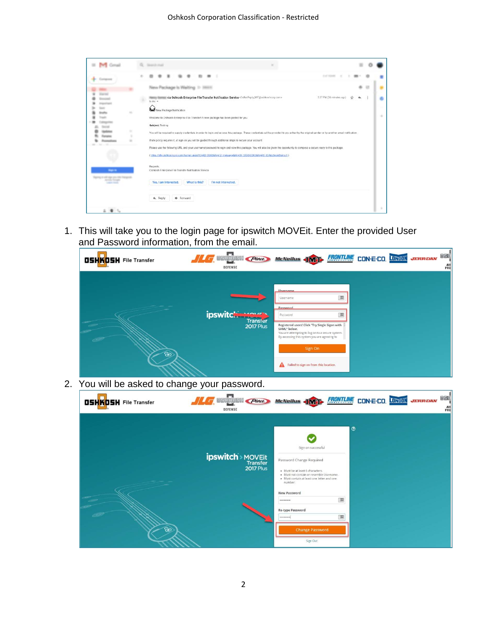|                                             |   | <b>Terms of Contact</b>                                                                                                                                                                                                                                                                  |                          |  |   |
|---------------------------------------------|---|------------------------------------------------------------------------------------------------------------------------------------------------------------------------------------------------------------------------------------------------------------------------------------------|--------------------------|--|---|
|                                             |   |                                                                                                                                                                                                                                                                                          | <b>DISTURBANCE</b>       |  |   |
|                                             |   | New Package Is Walting 11 3803                                                                                                                                                                                                                                                           |                          |  |   |
|                                             |   | via Oshkosh Enterprise File Transfer Notification Service CoNotheply Mill goshkoshcorp.com><br>to me $-$                                                                                                                                                                                 | 2.27 PM (36 minutes ego) |  | c |
|                                             |   | New Package Notication                                                                                                                                                                                                                                                                   |                          |  |   |
|                                             |   | Welcome to Oshkosh Enterprise File Transfert A new package has been posted for you.                                                                                                                                                                                                      |                          |  | ٠ |
|                                             | ٠ | Subject: Tosting<br>You will be required to supply credentials in order to login and access this package. These credentials will be provided to you either by the original sender or by another email notification                                                                       |                          |  |   |
|                                             |   | If site policy requires it, at sign on you will be guided through additional steps to secure your account.                                                                                                                                                                               |                          |  |   |
|                                             |   | Please use the following URL and your usemame/password to login and waw this package. You will also be given the opportunity to compose a secure reply to this package.<br>(filtes /falls eshkosticorp.com/human.aspx?CrofD-8086&hid12_messace&Ard06-533840503&hid06-854ptdSocefSomu4f1) |                          |  |   |
|                                             |   |                                                                                                                                                                                                                                                                                          |                          |  |   |
| <b>Septim</b>                               |   | Regards.<br>Osnicosh Enterprise File Transfer Not fication Service                                                                                                                                                                                                                       |                          |  |   |
| Free process require<br><b>EDITOR</b> THREE |   | Yes, I am Interested.<br>What is this?<br>I'm not interested.                                                                                                                                                                                                                            |                          |  |   |
|                                             |   |                                                                                                                                                                                                                                                                                          |                          |  |   |
|                                             |   | <b>ID</b> Forward<br><b>4.</b> Reply                                                                                                                                                                                                                                                     |                          |  |   |
| $\bullet$                                   |   |                                                                                                                                                                                                                                                                                          |                          |  | ٠ |

1. This will take you to the login page for ipswitch MOVEit. Enter the provided User and Password information, from the email.



| <b>Barbara</b> and the company<br>____ | ----<br><b>DEFENSE</b>                                                                                                                                                                                                                                  | ARI |
|----------------------------------------|---------------------------------------------------------------------------------------------------------------------------------------------------------------------------------------------------------------------------------------------------------|-----|
|                                        | $\odot$<br>Sign on successful<br><b>ipswitch</b> > MOVEit<br>Transfer<br>2017 Plus<br>Password Change Required<br>· Must be at least 6 characters.<br>· Must not contain or resemble Username.<br>· Must contain at least one letter and one<br>number. |     |
| ත                                      | New Password<br>$\frac{1}{2}$<br><br>Re-type Password<br>:翼<br><br><b>Change Password</b><br>Sign Out                                                                                                                                                   |     |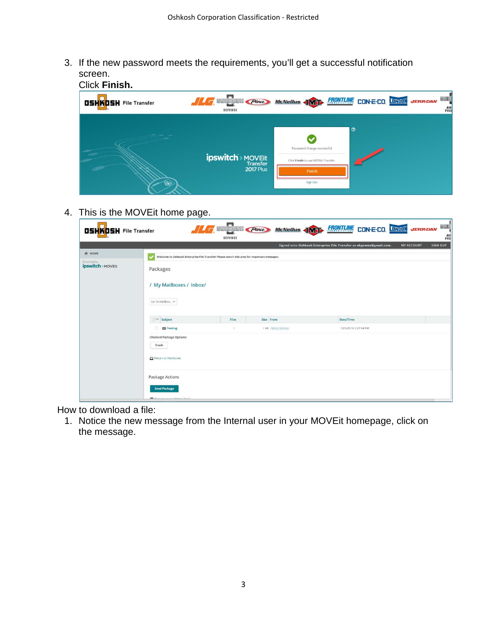3. If the new password meets the requirements, you'll get a successful notification screen.



4. This is the MOVEit home page.

| <b>OSHKOSH</b> File Transfer    | <b>1 F OSHKOSH Plote McNeilus (INT) FRONTING CON-E-CO, ONITOR</b><br><b>JERR DAN</b><br><b>DEFENSE</b> | osk <sup>i</sup><br>ARI |
|---------------------------------|--------------------------------------------------------------------------------------------------------|-------------------------|
|                                 | Signed onto Oshkosh Enterprise File Transfer as okgomez@gmail.com.<br><b>MY ACCOUNT</b>                | <b>SIGN OUT</b>         |
| <b>W</b> HOME                   | Welcome to Oshkosh Enterprise File Transfer! Please watch this area for important messages.            |                         |
| Powered by<br>ipswitch > MOVEit | Packages                                                                                               |                         |
|                                 | / My Mailboxes / Inbox/                                                                                |                         |
|                                 | Go To Mailbox Y                                                                                        |                         |
|                                 | $\vee$ Subject<br>Size From<br>Files<br>Date/Time                                                      |                         |
|                                 | $\Box$<br><b>Ed</b> Testing<br>1 KB<br>12/5/2018 2:27:54 PM<br>n.                                      |                         |
|                                 | <b>Checked Package Options:</b><br>Trash<br>Return to Mailboxes                                        |                         |
|                                 | <b>Package Actions</b><br><b>Send Package</b>                                                          |                         |
|                                 | <b>BLAAnnannannan nidensan handi</b>                                                                   |                         |

How to download a file:

1. Notice the new message from the Internal user in your MOVEit homepage, click on the message.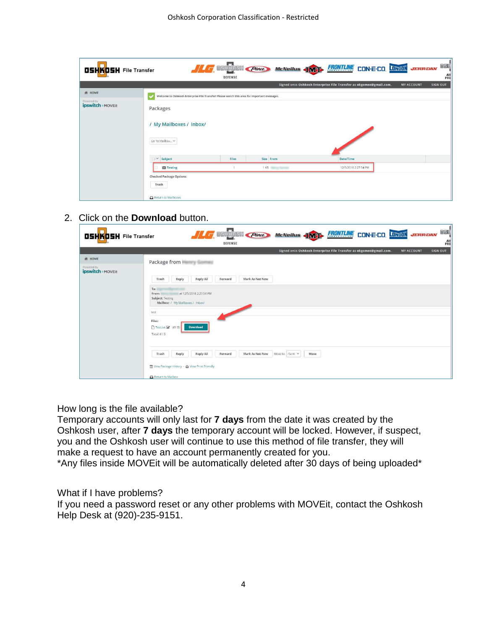| <b>OSHKOSH</b> File Transfer    |                                                                 | <b>DEFENSE</b>                                                                              |           | <b>A GENERAL PIONE MCNEILLE ANTE FRONTIANE CON-E-CO. UNITED JERREDAN</b> | oski<br>Alf<br>PRO                   |
|---------------------------------|-----------------------------------------------------------------|---------------------------------------------------------------------------------------------|-----------|--------------------------------------------------------------------------|--------------------------------------|
|                                 |                                                                 |                                                                                             |           | Signed onto Oshkosh Enterprise File Transfer as okgomez@gmail.com.       | <b>SIGN OUT</b><br><b>MY ACCOUNT</b> |
| <b>餐 HOME</b>                   |                                                                 | Welcome to Oshkosh Enterprise File Transfer! Please watch this area for important messages. |           |                                                                          |                                      |
| Powered by<br>ipswitch > MOVEit | Packages<br>/ My Mailboxes / Inbox/<br>Go To Mailbox            |                                                                                             |           |                                                                          |                                      |
|                                 | $\vee$ Subject                                                  | Files                                                                                       | Size From | Date/Time                                                                |                                      |
|                                 | <b>ES</b> Testing                                               |                                                                                             | 1 KB      | 12/5/2018 2:27:54 PM                                                     |                                      |
|                                 | <b>Checked Package Options:</b><br>Trash<br>Return to Mailboxes |                                                                                             |           |                                                                          |                                      |

## 2. Click on the **Download** button.

| <b>OSHKOSH</b> File Transfer                     | osr <sup>i</sup><br><b>THE DISHIKOSH Place</b><br>McNeilus <b>IMT</b> FRONTLINE<br><b>CON-E-CO. LONGON</b><br><b>JERR DAN</b><br>AR<br><b>DEFENSE</b> |
|--------------------------------------------------|-------------------------------------------------------------------------------------------------------------------------------------------------------|
|                                                  | Signed onto Oshkosh Enterprise File Transfer as okgomez@gmail.com.<br><b>SIGN OUT</b><br><b>MY ACCOUNT</b>                                            |
| <b>餐 HOME</b><br>Powered by<br>ipswitch > MOVEit | Package from <b>Number</b><br>Reply All<br>Reply<br>Mark As Not New<br>Trash<br>Forward<br>To:                                                        |
|                                                  | at 12/5/2018 2:27:54 PM<br>From:<br>Subject: Testing<br>Mailbox: / My Mailboxes / Inbox/<br>test                                                      |
|                                                  | Files:<br>□ Test.txt 図 (61 B)<br><b>Download</b><br>Total: 61 B                                                                                       |
|                                                  | Reply<br>Reply All<br>Mark As Not New<br><b>Move</b><br>Trash<br>Move to: /Sent V<br>Forward<br>View Package History - A View Print Friendly          |
|                                                  | Return to Mailbox                                                                                                                                     |

### How long is the file available?

Temporary accounts will only last for **7 days** from the date it was created by the Oshkosh user, after **7 days** the temporary account will be locked. However, if suspect, you and the Oshkosh user will continue to use this method of file transfer, they will make a request to have an account permanently created for you.

\*Any files inside MOVEit will be automatically deleted after 30 days of being uploaded\*

#### What if I have problems?

If you need a password reset or any other problems with MOVEit, contact the Oshkosh Help Desk at (920)-235-9151.